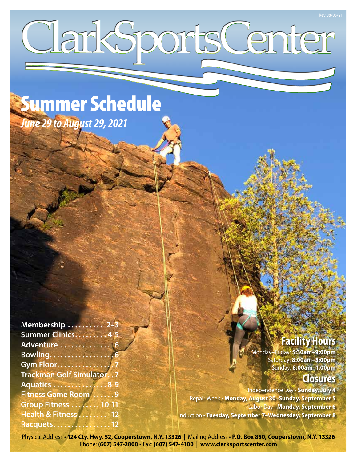# ClarkSportsCenter

Summer Schedule *June 29 to August 29, 2021*

| Membership  2-3                 |  |
|---------------------------------|--|
| Summer Clinics4-5               |  |
| Adventure  6                    |  |
| Bowling6                        |  |
| <b>Gym Floor7</b>               |  |
| <b>Trackman Golf Simulator7</b> |  |
| <b>Aquatics  8-9</b>            |  |
| <b>Fitness Game Room 9</b>      |  |
| Group Fitness 10-11             |  |
| Health & Fitness 12             |  |
| Racquets12                      |  |

# **Facility Hours**

Monday–Friday: **5:30am–9:00pm** Saturday: **8:00am–5:00pm** Sunday: **8:00am–1:00pm**

# **Closures**

Independence Day • **Sunday, July 4** Repair Week • **Monday, August 30–Sunday, September 5** Labor Day • **Monday, September 6** Induction • **Tuesday, September 7–Wednesday, September 8**

Physical Address • **124 Cty. Hwy. 52, Cooperstown, N.Y. 13326 |** Mailing Address • **P.O. Box 850, Cooperstown, N.Y. 13326** Phone: **(607) 547-2800 •** Fax: **(607) 547-4100 | www.clarksportscenter.com**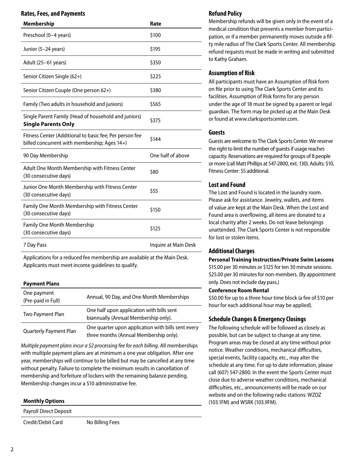# **Rates, Fees, and Payments**

| <b>Membership</b>                                                                                       | Rate                 |
|---------------------------------------------------------------------------------------------------------|----------------------|
| Preschool (0-4 years)                                                                                   | \$100                |
| Junior (5–24 years)                                                                                     | \$195                |
| Adult (25–61 years)                                                                                     | \$350                |
| Senior Citizen Single (62+)                                                                             | \$225                |
| Senior Citizen Couple (One person 62+)                                                                  | \$380                |
| Family (Two adults in household and juniors)                                                            | \$565                |
| Single Parent Family (Head of household and juniors)<br><b>Single Parents Only</b>                      | \$375                |
| Fitness Center (Additional to basic fee; Per person fee<br>billed concurrent with membership; Ages 14+) | \$144                |
| 90 Day Membership                                                                                       | One half of above    |
| Adult One Month Membership with Fitness Center<br>(30 consecutive days)                                 | \$80                 |
| Junior One Month Membership with Fitness Center<br>(30 consecutive days)                                | \$55                 |
| Family One Month Membership with Fitness Center<br>(30 consecutive days)                                | \$150                |
| <b>Family One Month Membership</b><br>(30 consecutive days)                                             | \$125                |
| 7 Day Pass                                                                                              | Inquire at Main Desk |

Applications for a reduced fee membership are available at the Main Desk. Applicants must meet income guidelines to qualify.

# **Payment Plans**

| One payment<br>(Pre-paid in Full) | Annual, 90 Day, and One Month Memberships                                                    |
|-----------------------------------|----------------------------------------------------------------------------------------------|
| Two Payment Plan                  | One half upon application with bills sent<br>biannually (Annual Membership only).            |
| <b>Quarterly Payment Plan</b>     | One quarter upon application with bills sent every<br>three months (Annual Membership only). |

*Multiple payment plans incur a \$2 processing fee for each billing.* All memberships with multiple payment plans are at minimum a one year obligation. After one year, memberships will continue to be billed but may be cancelled at any time without penalty. Failure to complete the minimum results in cancellation of membership and forfeiture of lockers with the remaining balance pending. Membership changes incur a \$10 administrative fee.

## **Monthly Options**

Payroll Direct Deposit

Credit/Debit Card No Billing Fees

# **Refund Policy**

Membership refunds will be given only in the event of a medical condition that prevents a member from participation, or if a member permanently moves outside a fifty mile radius of The Clark Sports Center. All membership refund requests must be made in writing and submitted to Kathy Graham.

# **Assumption of Risk**

All participants must have an Assumption of Risk form on file prior to using The Clark Sports Center and its facilities. Assumption of Risk forms for any person under the age of 18 must be signed by a parent or legal guardian. The form may be picked up at the Main Desk or found at www.clarksportscenter.com.

# **Guests**

Guests are welcome to The Clark Sports Center. We reserve the right to limit the number of guests if usage reaches capacity. Reservations are required for groups of 8 people or more (call Matt Phillips at 547-2800, ext. 130). Adults: \$10, Fitness Center: \$5 additional.

# **Lost and Found**

The Lost and Found is located in the laundry room. Please ask for assistance. Jewelry, wallets, and items of value are kept at the Main Desk. When the Lost and Found area is overflowing, all items are donated to a local charity after 2 weeks. Do not leave belongings unattended. The Clark Sports Center is not responsible for lost or stolen items.

# **Additional Charges**

## **Personal Training Instruction/Private Swim Lessons**

\$15.00 per 30 minutes or \$125 for ten 30 minute sessions. \$25.00 per 30 minutes for non-members. (By appointment only. Does not include day pass.)

## **Conference Room Rental**

\$50.00 for up to a three hour time block (a fee of \$10 per hour for each additional hour may be applied).

# **Schedule Changes & Emergency Closings**

The following schedule will be followed as closely as possible, but can be subject to change at any time. Program areas may be closed at any time without prior notice. Weather conditions, mechanical difficulties, special events, facility capacity, etc., may alter the schedule at any time. For up to date information, please call (607) 547-2800. In the event the Sports Center must close due to adverse weather conditions, mechanical difficulties, etc., announcements will be made on our website and on the following radio stations: WZOZ (103.1FM) and WSRK (103.9FM).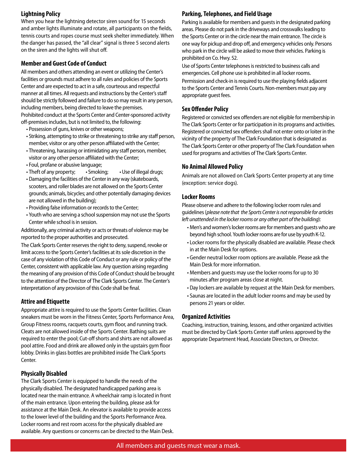# **Lightning Policy**

When you hear the lightning detector siren sound for 15 seconds and amber lights illuminate and rotate, all participants on the fields, tennis courts and ropes course must seek shelter immediately. When the danger has passed, the "all clear" signal is three 5 second alerts on the siren and the lights will shut off.

# **Member and Guest Code of Conduct**

All members and others attending an event or utilizing the Center's facilities or grounds must adhere to all rules and policies of the Sports Center and are expected to act in a safe, courteous and respectful manner at all times. All requests and instructions by the Center's staff should be strictly followed and failure to do so may result in any person, including members, being directed to leave the premises. Prohibited conduct at the Sports Center and Center-sponsored activity off-premises includes, but is not limited to, the following:

- Possession of guns, knives or other weapons;
- Striking, attempting to strike or threatening to strike any staff person, member, visitor or any other person affiliated with the Center;
- Threatening, harassing or intimidating any staff person, member, visitor or any other person affiliated with the Center;
- Foul, profane or abusive language;
- Theft of any property; Smoking; Use of illegal drugs;
- Damaging the facilities of the Center in any way (skateboards, scooters, and roller blades are not allowed on the Sports Center grounds; animals, bicycles; and other potentially damaging devices are not allowed in the building);
- Providing false information or records to the Center;
- Youth who are serving a school suspension may not use the Sports Center while school is in session.

Additionally, any criminal activity or acts or threats of violence may be reported to the proper authorities and prosecuted.

The Clark Sports Center reserves the right to deny, suspend, revoke or limit access to the Sports Center's facilities at its sole discretion in the case of any violation of this Code of Conduct or any rule or policy of the Center, consistent with applicable law. Any question arising regarding the meaning of any provision of this Code of Conduct should be brought to the attention of the Director of The Clark Sports Center. The Center's interpretation of any provision of this Code shall be final.

# **Attire and Etiquette**

Appropriate attire is required to use the Sports Center facilities. Clean sneakers must be worn in the Fitness Center, Sports Performance Area, Group Fitness rooms, racquets courts, gym floor, and running track. Cleats are not allowed inside of the Sports Center. Bathing suits are required to enter the pool; Cut-off shorts and shirts are not allowed as pool attire. Food and drink are allowed only in the upstairs gym floor lobby. Drinks in glass bottles are prohibited inside The Clark Sports Center.

# **Physically Disabled**

The Clark Sports Center is equipped to handle the needs of the physically disabled. The designated handicapped parking area is located near the main entrance. A wheelchair ramp is located in front of the main entrance. Upon entering the building, please ask for assistance at the Main Desk. An elevator is available to provide access to the lower level of the building and the Sports Performance Area. Locker rooms and rest room access for the physically disabled are available. Any questions or concerns can be directed to the Main Desk.

# **Parking, Telephones, and Field Usage**

Parking is available for members and guests in the designated parking areas. Please do not park in the driveways and crosswalks leading to the Sports Center or in the circle near the main entrance. The circle is one way for pickup and drop off, and emergency vehicles only. Persons who park in the circle will be asked to move their vehicles. Parking is prohibited on Co. Hwy. 52.

Use of Sports Center telephones is restricted to business calls and emergencies. Cell phone use is prohibited in all locker rooms.

Permission and check-in is required to use the playing fields adjacent to the Sports Center and Tennis Courts. Non-members must pay any appropriate guest fees.

# **Sex Offender Policy**

Registered or convicted sex offenders are not eligible for membership in The Clark Sports Center or for participation in its programs and activities. Registered or convicted sex offenders shall not enter onto or loiter in the vicinity of the property of The Clark Foundation that is designated as The Clark Sports Center or other property of The Clark Foundation when used for programs and activities of The Clark Sports Center.

# **No Animal Allowed Policy**

Animals are not allowed on Clark Sports Center property at any time (exception: service dogs).

# **Locker Rooms**

Please observe and adhere to the following locker room rules and guidelines (*please note that the Sports Center is not responsible for articles left unattended in the locker rooms or any other part of the building*):

- Men's and women's locker rooms are for members and guests who are beyond high school. Youth locker rooms are for use by youth K-12.
- Locker rooms for the physically disabled are available. Please check in at the Main Desk for options.
- Gender neutral locker room options are available. Please ask the Main Desk for more information.
- Members and guests may use the locker rooms for up to 30 minutes after program areas close at night.
- Day lockers are available by request at the Main Desk for members.
- Saunas are located in the adult locker rooms and may be used by persons 21 years or older.

# **Organized Activities**

Coaching, instruction, training, lessons, and other organized activities must be directed by Clark Sports Center staff unless approved by the appropriate Department Head, Associate Directors, or Director.

3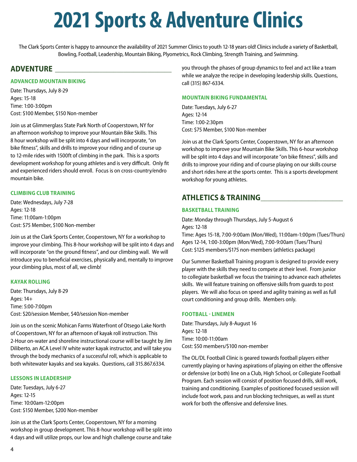# **2021 Sports & Adventure Clinics**

The Clark Sports Center is happy to announce the availability of 2021 Summer Clinics to youth 12-18 years old! Clinics include a variety of Basketball, Bowling, Football, Leadership, Mountain Biking, Plyometrics, Rock Climbing, Strength Training, and Swimming.

# **ADVENTURE \_\_\_\_\_\_\_\_\_\_\_\_\_\_\_\_\_\_\_\_\_\_\_\_\_\_\_\_\_\_\_\_\_\_**

# **ADVANCED MOUNTAIN BIKING**

Date: Thursdays, July 8-29 Ages: 15-18 Time: 1:00-3:00pm Cost: \$100 Member, \$150 Non-member

Join us at Glimmerglass State Park North of Cooperstown, NY for an afternoon workshop to improve your Mountain Bike Skills. This 8 hour workshop will be split into 4 days and will incorporate, "on bike fitness", skills and drills to improve your riding and of course up to 12-mile rides with 1500ft of climbing in the park. This is a sports development workshop for young athletes and is very difficult. Only fit and experienced riders should enroll. Focus is on cross-country/endro mountain bike.

# **CLIMBING CLUB TRAINING**

Date: Wednesdays, July 7-28 Ages: 12-18 Time: 11:00am-1:00pm Cost: \$75 Member, \$100 Non-member

Join us at the Clark Sports Center, Cooperstown, NY for a workshop to improve your climbing. This 8-hour workshop will be split into 4 days and will incorporate "on the ground fitness", and our climbing wall. We will introduce you to beneficial exercises, physically and, mentally to improve your climbing plus, most of all, we climb!

# **KAYAK ROLLING**

Date: Thursdays, July 8-29 Ages: 14+ Time: 5:00-7:00pm Cost: \$20/session Member, \$40/session Non-member

Join us on the scenic Mohican Farms Waterfront of Otsego Lake North of Cooperstown, NY for an afternoon of kayak roll instruction. This 2-Hour on-water and shoreline instructional course will be taught by Jim Diliberto, an ACA Level IV white water kayak instructor, and will take you through the body mechanics of a successful roll, which is applicable to both whitewater kayaks and sea kayaks. Questions, call 315.867.6334.

# **LESSONS IN LEADERSHIP**

Date: Tuesdays, July 6-27 Ages: 12-15 Time: 10:00am-12:00pm Cost: \$150 Member, \$200 Non-member

Join us at the Clark Sports Center, Cooperstown, NY for a morning workshop in group development. This 8-hour workshop will be split into 4 days and will utilize props, our low and high challenge course and take you through the phases of group dynamics to feel and act like a team while we analyze the recipe in developing leadership skills. Questions, call (315) 867-6334.

## **MOUNTAIN BIKING FUNDAMENTAL**

Date: Tuesdays, July 6-27 Ages: 12-14 Time: 1:00-2:30pm Cost: \$75 Member, \$100 Non-member

Join us at the Clark Sports Center, Cooperstown, NY for an afternoon workshop to improve your Mountain Bike Skills. This 6-hour workshop will be split into 4 days and will incorporate "on bike fitness", skills and drills to improve your riding and of course playing on our skills course and short rides here at the sports center. This is a sports development workshop for young athletes.

# **ATHLETICS & TRAINING\_\_\_\_\_\_\_\_\_\_\_\_\_\_\_\_\_\_\_\_\_\_\_\_**

# **BASKETBALL TRAINING**

Date: Monday through Thursdays, July 5-August 6 Ages: 12-18

Time: Ages 15-18, 7:00-9:00am (Mon/Wed), 11:00am-1:00pm (Tues/Thurs) Ages 12-14, 1:00-3:00pm (Mon/Wed), 7:00-9:00am (Tues/Thurs) Cost: \$125 members/\$175 non-members (athletics package)

Our Summer Basketball Training program is designed to provide every player with the skills they need to compete at their level. From junior to collegiate basketball we focus the training to advance each atheletes skills. We will feature training on offensive skills from guards to post players. We will also focus on speed and agility training as well as full court conditioning and group drills. Members only.

## **FOOTBALL - LINEMEN**

Date: Thursdays, July 8-August 16 Ages: 12-18 Time: 10:00-11:00am Cost: \$50 members/\$100 non-member

The OL/DL Football Clinic is geared towards football players either currently playing or having aspirations of playing on either the offensive or defensive (or both) line on a Club, High School, or Collegiate Football Program. Each session will consist of position focused drills, skill work, training and conditioning. Examples of positioned focused session will include foot work, pass and run blocking techniques, as well as stunt work for both the offensive and defensive lines.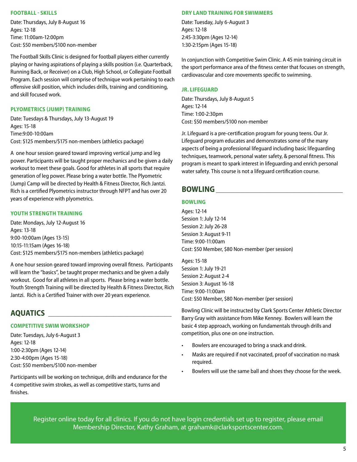# **FOOTBALL - SKILLS**

Date: Thursdays, July 8-August 16 Ages: 12-18 Time: 11:00am-12:00pm Cost: \$50 members/\$100 non-member

The Football Skills Clinic is designed for football players either currently playing or having aspirations of playing a skills position (i.e. Quarterback, Running Back, or Receiver) on a Club, High School, or Collegiate Football Program. Each session will comprise of technique work pertaining to each offensive skill position, which includes drills, training and conditioning, and skill focused work.

# **PLYOMETRICS (JUMP) TRAINING**

Date: Tuesdays & Thursdays, July 13-August 19 Ages: 15-18 Time:9:00-10:00am Cost: \$125 members/\$175 non-members (athletics package)

A one hour session geared toward improving vertical jump and leg power. Participants will be taught proper mechanics and be given a daily workout to meet these goals. Good for athletes in all sports that require generation of leg power. Please bring a water bottle. The Plyometric (Jump) Camp will be directed by Health & Fitness Director, Rich Jantzi. Rich is a certified Plyometrics instructor through NFPT and has over 20 years of experience with plyometrics.

# **YOUTH STRENGTH TRAINING**

Date: Mondays, July 12-August 16 Ages: 13-18 9:00-10:00am (Ages 13-15) 10:15-11:15am (Ages 16-18) Cost: \$125 members/\$175 non-members (athletics package)

A one hour session geared toward improving overall fitness. Participants will learn the "basics", be taught proper mechanics and be given a daily workout. Good for all athletes in all sports. Please bring a water bottle. Youth Strength Training will be directed by Health & Fitness Director, Rich Jantzi. Rich is a Certified Trainer with over 20 years experience.

# **AQUATICS \_\_\_\_\_\_\_\_\_\_\_\_\_\_\_\_\_\_\_\_\_\_\_\_\_\_\_\_\_\_\_\_\_\_\_\_**

# **COMPETITIVE SWIM WORKSHOP**

Date: Tuesdays, July 6-August 3 Ages: 12-18 1:00-2:30pm (Ages 12-14) 2:30-4:00pm (Ages 15-18) Cost: \$50 members/\$100 non-member

Participants will be working on technique, drills and endurance for the 4 competitive swim strokes, as well as competitive starts, turns and finishes.

## **DRY LAND TRAINING FOR SWIMMERS**

Date: Tuesday, July 6-August 3 Ages: 12-18 2:45-3:30pm (Ages 12-14) 1:30-2:15pm (Ages 15-18)

In conjunction with Competitive Swim Clinic. A 45 min training circuit in the sport performance area of the fitness center that focuses on strength, cardiovascular and core movements specific to swimming.

## **JR. LIFEGUARD**

Date: Thursdays, July 8-August 5 Ages: 12-14 Time: 1:00-2:30pm Cost: \$50 members/\$100 non-member

Jr. Lifeguard is a pre-certification program for young teens. Our Jr. Lifeguard program educates and demonstrates some of the many aspects of being a professional lifeguard including basic lifeguarding techniques, teamwork, personal water safety, & personal fitness. This program is meant to spark interest in lifeguarding and enrich personal water safety. This course is not a lifeguard certification course.

# **BOWLING**

# **BOWLING**

Ages: 12-14 Session 1: July 12-14 Session 2: July 26-28 Session 3: August 9-11 Time: 9:00-11:00am Cost: \$50 Member, \$80 Non-member (per session)

Ages: 15-18 Session 1: July 19-21 Session 2: August 2-4 Session 3: August 16-18 Time: 9:00-11:00am Cost: \$50 Member, \$80 Non-member (per session)

Bowling Clinic will be instructed by Clark Sports Center Athletic Director Barry Gray with assistance from Mike Kenney. Bowlers will learn the basic 4 step approach, working on fundamentals through drills and competition, plus one on one instruction.

- Bowlers are encouraged to bring a snack and drink.
- Masks are required if not vaccinated, proof of vaccination no mask required.
- Bowlers will use the same ball and shoes they choose for the week.

Register online today for all clinics. If you do not have login credentials set up to register, please email Membership Director, Kathy Graham, at grahamk@clarksportscenter.com.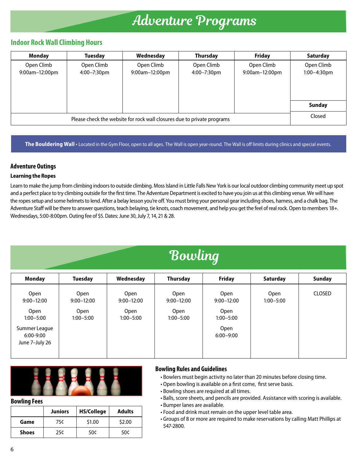# Adventure Programs

# **Indoor Rock Wall Climbing Hours**

| <b>Monday</b>  | <b>Tuesday</b> | Wednesday      | Thursday    | <b>Friday</b>  | Saturday      |
|----------------|----------------|----------------|-------------|----------------|---------------|
| Open Climb     | Open Climb     | Open Climb     | Open Climb  | Open Climb     | Open Climb    |
| 9:00am-12:00pm | 4:00-7:30pm    | 9:00am-12:00pm | 4:00-7:30pm | 9:00am-12:00pm | 1:00-4:30pm   |
|                |                |                |             |                |               |
|                |                |                |             |                |               |
|                |                |                |             |                |               |
|                |                |                |             |                | <b>Sunday</b> |
|                | Closed         |                |             |                |               |

**The Bouldering Wall** • Located in the Gym Floor, open to all ages. The Wall is open year-round. The Wall is off limits during clinics and special events.

# **Adventure Outings**

# **Learning the Ropes**

Learn to make the jump from climbing indoors to outside climbing. Moss Island in Little Falls New York is our local outdoor climbing community meet up spot and a perfect place to try climbing outside for the first time. The Adventure Department is excited to have you join us at this climbing venue. We will have the ropes setup and some helmets to lend. After a belay lesson you're off. You must bring your personal gear including shoes, harness, and a chalk bag. The Adventure Staff will be there to answer questions, teach belaying, tie knots, coach movement, and help you get the feel of real rock. Open to members 18+. Wednesdays, 5:00-8:00pm. Outing fee of \$5. Dates: June 30, July 7, 14, 21 & 28.

# Bowling

| <b>Monday</b>          | <b>Tuesday</b>                | Wednesday                     | Thursday               | <b>Friday</b>          | <b>Saturday</b>       | <b>Sunday</b> |
|------------------------|-------------------------------|-------------------------------|------------------------|------------------------|-----------------------|---------------|
| Open<br>$9:00 - 12:00$ | <b>Open</b><br>$9:00 - 12:00$ | <b>Open</b><br>$9:00 - 12:00$ | Open<br>$9:00 - 12:00$ | Open<br>$9:00 - 12:00$ | Open<br>$1:00 - 5:00$ | <b>CLOSED</b> |
| Open                   | <b>Open</b>                   | <b>Open</b>                   | Open                   | <b>Open</b>            |                       |               |
| $1:00 - 5:00$          | $1:00 - 5:00$                 | $1:00 - 5:00$                 | $1:00 - 5:00$          | $1:00 - 5:00$          |                       |               |
| Summer League          |                               |                               |                        | <b>Open</b>            |                       |               |
| 6:00-9:00              |                               |                               |                        | $6:00 - 9:00$          |                       |               |
| June 7-July 26         |                               |                               |                        |                        |                       |               |
|                        |                               |                               |                        |                        |                       |               |



## **Bowling Fees**

|              | <b>Juniors</b> | <b>HS/College</b> | <b>Adults</b> |
|--------------|----------------|-------------------|---------------|
| Game         | 75¢            | \$1.00            | \$2.00        |
| <b>Shoes</b> | 25¢            | 50¢               | 50¢           |

# **Bowling Rules and Guidelines**

- Bowlers must begin activity no later than 20 minutes before closing time.
- Open bowling is available on a first come, first serve basis.
- Bowling shoes are required at all times.
- Balls, score sheets, and pencils are provided. Assistance with scoring is available.
- Bumper lanes are available.
- Food and drink must remain on the upper level table area.
- Groups of 8 or more are required to make reservations by calling Matt Phillips at 547-2800.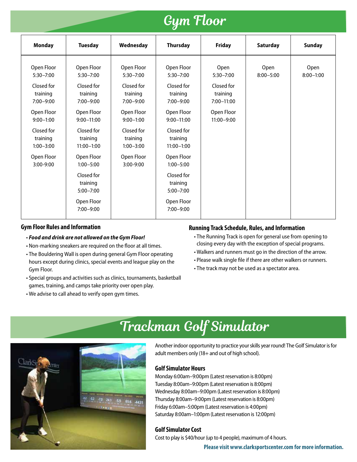# Gym Floor

| <b>Monday</b>                           | <b>Tuesday</b>                           | Wednesday                               | Thursday                                 | <b>Friday</b>                            | Saturday              | <b>Sunday</b>         |
|-----------------------------------------|------------------------------------------|-----------------------------------------|------------------------------------------|------------------------------------------|-----------------------|-----------------------|
| Open Floor<br>$5:30 - 7:00$             | Open Floor<br>$5:30 - 7:00$              | Open Floor<br>$5:30 - 7:00$             | Open Floor<br>$5:30 - 7:00$              | Open<br>$5:30 - 7:00$                    | Open<br>$8:00 - 5:00$ | Open<br>$8:00 - 1:00$ |
| Closed for<br>training<br>$7:00 - 9:00$ | Closed for<br>training<br>$7:00 - 9:00$  | Closed for<br>training<br>$7:00 - 9:00$ | Closed for<br>training<br>$7:00 - 9:00$  | Closed for<br>training<br>$7:00 - 11:00$ |                       |                       |
| Open Floor<br>$9:00 - 1:00$             | Open Floor<br>$9:00 - 11:00$             | Open Floor<br>$9:00 - 1:00$             | Open Floor<br>$9:00 - 11:00$             | Open Floor<br>$11:00 - 9:00$             |                       |                       |
| Closed for<br>training<br>$1:00 - 3:00$ | Closed for<br>training<br>$11:00 - 1:00$ | Closed for<br>training<br>$1:00 - 3:00$ | Closed for<br>training<br>$11:00 - 1:00$ |                                          |                       |                       |
| Open Floor<br>$3:00 - 9:00$             | Open Floor<br>$1:00 - 5:00$              | Open Floor<br>$3:00-9:00$               | Open Floor<br>$1:00 - 5:00$              |                                          |                       |                       |
|                                         | Closed for<br>training<br>$5:00 - 7:00$  |                                         | Closed for<br>training<br>$5:00 - 7:00$  |                                          |                       |                       |
|                                         | Open Floor<br>$7:00 - 9:00$              |                                         | Open Floor<br>$7:00 - 9:00$              |                                          |                       |                       |

# **Gym Floor Rules and Information**

- *Food and drink are not allowed on the Gym Floor!*
- Non-marking sneakers are required on the floor at all times.
- The Bouldering Wall is open during general Gym Floor operating hours except during clinics, special events and league play on the Gym Floor.
- Special groups and activities such as clinics, tournaments, basketball games, training, and camps take priority over open play.
- We advise to call ahead to verify open gym times.

# **Running Track Schedule, Rules, and Information**

- The Running Track is open for general use from opening to closing every day with the exception of special programs.
- Walkers and runners must go in the direction of the arrow.
- Please walk single file if there are other walkers or runners.
- The track may not be used as a spectator area.



# Trackman Golf Simulator

Another indoor opportunity to practice your skills year round! The Golf Simulator is for adult members only (18+ and out of high school).

# **Golf Simulator Hours**

Monday 6:00am–9:00pm (Latest reservation is 8:00pm) Tuesday 8:00am–9:00pm (Latest reservation is 8:00pm) Wednesday 8:00am–9:00pm (Latest reservation is 8:00pm) Thursday 8:00am–9:00pm (Latest reservation is 8:00pm) Friday 6:00am–5:00pm (Latest reservation is 4:00pm) Saturday 8:00am–1:00pm (Latest reservation is 12:00pm)

# **Golf Simulator Cost**

Cost to play is \$40/hour (up to 4 people), maximum of 4 hours.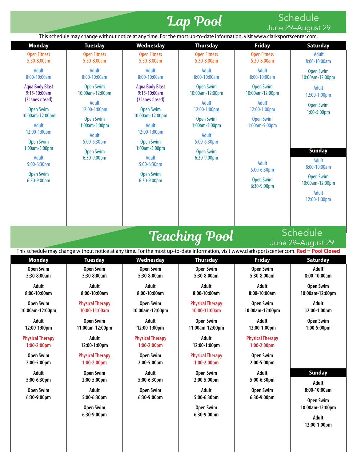# **Lap Pool** Schedule

This schedule may change without notice at any time. For the most up-to-date information, visit www.clarksportscenter.com. **Monday Tuesday Wednesday Thursday Friday Saturday** Open Fitness 5:30-8:00am Adult 8:00-10:00am Aqua Body Blast 9:15-10:00am (3 lanes closed) Open Swim 10:00am-12:00pm Adult 12:00-1:00pm Open Swim 1:00am-5:00pm Adult 5:00-6:30pm Open Swim 6:30-9:00pm Open Fitness 5:30-8:00am Adult 8:00-10:00am Open Swim 10:00am-12:00pm Adult 12:00-1:00pm Open Swim 1:00am-5:00pm Adult 5:00-6:30pm Open Swim 6:30-9:00pm Open Fitness 5:30-8:00am Adult 8:00-10:00am Aqua Body Blast 9:15-10:00am (3 lanes closed) Open Swim 10:00am-12:00pm Adult 12:00-1:00pm Open Swim 1:00am-5:00pm Adult 5:00-6:30pm Open Swim 6:30-9:00pm Open Fitness 5:30-8:00am Adult 8:00-10:00am Open Swim 10:00am-12:00pm Adult 12:00-1:00pm Open Swim 1:00am-5:00pm Adult 5:00-6:30pm Open Swim 6:30-9:00pm Open Fitness 5:30-8:00am Adult 8:00-10:00am Open Swim 10:00am-12:00pm Adult 12:00-1:00pm Open Swim 1:00am-5:00pm Adult 5:00-6:30pm Open Swim 6:30-9:00pm Adult 8:00-10:00am Open Swim 10:00am-12:00pm Adult 12:00-1:00pm Open Swim 1:00-5:00pm **Sunday** Adult 8:00-10:00am Open Swim 10:00am-12:00pm Adult 12:00-1:00pm June 29–August 29 Teaching Pool Schedule June 29–August 29 This schedule may change without notice at any time. For the most up-to-date information, visit www.clarksportscenter.com. **Red = Pool Closed Monday Tuesday Wednesday Thursday Friday Saturday Open Swim 5:30-8:00am Adult 8:00-10:00am Open Swim 10:00am-12:00pm Adult 12:00-1:00pm Physical Therapy 1:00-2:00pm Open Swim 2:00-5:00pm Adult 5:00-6:30pm Open Swim 6:30-9:00pm Open Swim 5:30-8:00am Adult 8:00-10:00am Physical Therapy 10:00-11:00am Open Swim 11:00am-12:00pm Adult 12:00-1:00pm Physical Therapy 1:00-2:00pm Open Swim 2:00-5:00pm Adult 5:00-6:30pm Open Swim 6:30-9:00pm Open Swim 5:30-8:00am Adult 8:00-10:00am Open Swim 10:00am-12:00pm Adult 12:00-1:00pm Physical Therapy 1:00-2:00pm Open Swim 2:00-5:00pm Adult 5:00-6:30pm Open Swim 6:30-9:00pm Open Swim 5:30-8:00am Adult 8:00-10:00am Physical Therapy 10:00-11:00am Open Swim 11:00am-12:00pm Adult 12:00-1:00pm Physical Therapy 1:00-2:00pm Open Swim 2:00-5:00pm Adult 5:00-6:30pm Open Swim 6:30-9:00pm Open Swim 5:30-8:00am Adult 8:00-10:00am Open Swim 10:00am-12:00pm Adult 12:00-1:00pm Physical Therapy 1:00-2:00pm Open Swim 2:00-5:00pm Adult 5:00-6:30pm Open Swim 6:30-9:00pm Adult 8:00-10:00am Open Swim 10:00am-12:00pm Adult 12:00-1:00pm Open Swim 1:00-5:00pm Sunday Adult 8:00-10:00am Open Swim 10:00am-12:00pm Adult 12:00-1:00pm**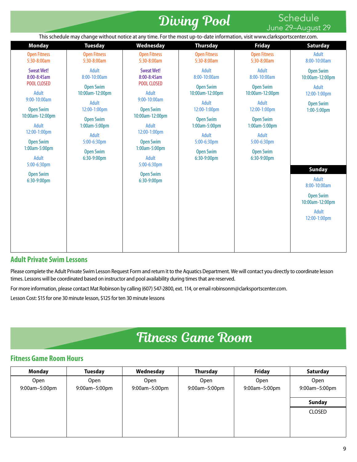# Diving Pool Schedule

# June 29–August 29

|                                                                                                                                                                                | This schedule may change without notice at any time. For the most up-to-date information, visit www.clarksportscenter.com. |                                                                                                                                                                              |                                                                                                                       |                                                                                                                                        | $0$ and $27$ ragual $27$                                                                                                                                   |
|--------------------------------------------------------------------------------------------------------------------------------------------------------------------------------|----------------------------------------------------------------------------------------------------------------------------|------------------------------------------------------------------------------------------------------------------------------------------------------------------------------|-----------------------------------------------------------------------------------------------------------------------|----------------------------------------------------------------------------------------------------------------------------------------|------------------------------------------------------------------------------------------------------------------------------------------------------------|
| <b>Monday</b>                                                                                                                                                                  | <b>Tuesday</b>                                                                                                             | Wednesday                                                                                                                                                                    | <b>Thursday</b>                                                                                                       | <b>Friday</b>                                                                                                                          | <b>Saturday</b>                                                                                                                                            |
| <b>Open Fitness</b><br>5:30-8:00am                                                                                                                                             | <b>Open Fitness</b><br>5:30-8:00am                                                                                         | <b>Open Fitness</b><br>5:30-8:00am                                                                                                                                           | <b>Open Fitness</b><br>5:30-8:00am                                                                                    | <b>Open Fitness</b><br>5:30-8:00am                                                                                                     | <b>Adult</b><br>8:00-10:00am                                                                                                                               |
| <b>Sweat Wet!</b><br>8:00-8:45am<br>POOL CLOSED<br><b>Adult</b>                                                                                                                | Adult<br>8:00-10:00am<br><b>Open Swim</b><br>10:00am-12:00pm                                                               | <b>Sweat Wet!</b><br>8:00-8:45am<br>POOL CLOSED<br>Adult                                                                                                                     | Adult<br>8:00-10:00am<br><b>Open Swim</b><br>10:00am-12:00pm                                                          | Adult<br>8:00-10:00am<br><b>Open Swim</b><br>10:00am-12:00pm                                                                           | <b>Open Swim</b><br>10:00am-12:00pm<br><b>Adult</b><br>12:00-1:00pm                                                                                        |
| 9:00-10:00am<br><b>Open Swim</b><br>10:00am-12:00pm<br>Adult<br>12:00-1:00pm<br><b>Open Swim</b><br>$1:00am-5:00pm$<br>Adult<br>5:00-6:30pm<br><b>Open Swim</b><br>6:30-9:00pm | Adult<br>12:00-1:00pm<br><b>Open Swim</b><br>1:00am-5:00pm<br>Adult<br>5:00-6:30pm<br><b>Open Swim</b><br>6:30-9:00pm      | 9:00-10:00am<br><b>Open Swim</b><br>10:00am-12:00pm<br>Adult<br>12:00-1:00pm<br><b>Open Swim</b><br>1:00am-5:00pm<br>Adult<br>5:00-6:30pm<br><b>Open Swim</b><br>6:30-9:00pm | Adult<br>12:00-1:00pm<br><b>Open Swim</b><br>1:00am-5:00pm<br>Adult<br>5:00-6:30pm<br><b>Open Swim</b><br>6:30-9:00pm | <b>Adult</b><br>12:00-1:00pm<br><b>Open Swim</b><br>1:00am-5:00pm<br><b>Adult</b><br>5:00-6:30pm<br><b>Open Swim</b><br>$6:30-9:00$ pm | <b>Open Swim</b><br>$1:00-5:00$ pm<br><b>Sunday</b><br><b>Adult</b><br>8:00-10:00am<br><b>Open Swim</b><br>10:00am-12:00pm<br><b>Adult</b><br>12:00-1:00pm |

# **Adult Private Swim Lessons**

Please complete the Adult Private Swim Lesson Request Form and return it to the Aquatics Department. We will contact you directly to coordinate lesson times. Lessons will be coordinated based on instructor and pool availability during times that are reserved.

For more information, please contact Mat Robinson by calling (607) 547-2800, ext. 114, or email robinsonm@clarksportscenter.com.

Lesson Cost: \$15 for one 30 minute lesson, \$125 for ten 30 minute lessons

# Fitness Game Room

# **Fitness Game Room Hours**

| <b>Monday</b> | <b>Tuesday</b> | Wednesday     | Thursday      | <b>Friday</b> | Saturday      |
|---------------|----------------|---------------|---------------|---------------|---------------|
| <b>Open</b>   | <b>Open</b>    | <b>Open</b>   | Open          | <b>Open</b>   | Open          |
| 9:00am-5:00pm | 9:00am-5:00pm  | 9:00am-5:00pm | 9:00am-5:00pm | 9:00am-5:00pm | 9:00am-5:00pm |
|               |                |               |               |               | <b>Sunday</b> |
|               |                |               |               |               | CLOSED        |
|               |                |               |               |               |               |
|               |                |               |               |               |               |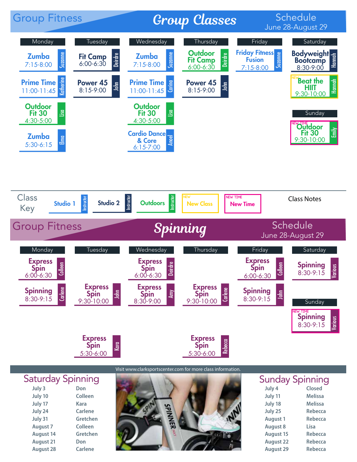

| July 3           | Don            |
|------------------|----------------|
| July 10          | Colleen        |
| July 17          | <b>Kara</b>    |
| July 24          | <b>Carlene</b> |
| July 31          | Gretchen       |
| <b>August 7</b>  | Colleen        |
| <b>August 14</b> | Gretchen       |
| <b>August 21</b> | Don            |
| <b>August 28</b> | Carlene        |
|                  |                |



| July 4           | Closed         |
|------------------|----------------|
| July 11          | <b>Melissa</b> |
| July 18          | <b>Melissa</b> |
| July 25          | Rebecca        |
| <b>August 1</b>  | <b>Rebecca</b> |
| <b>August 8</b>  | Lisa           |
| <b>August 15</b> | <b>Rebecca</b> |
| <b>August 22</b> | <b>Rebecca</b> |
| <b>August 29</b> | <b>Rebecca</b> |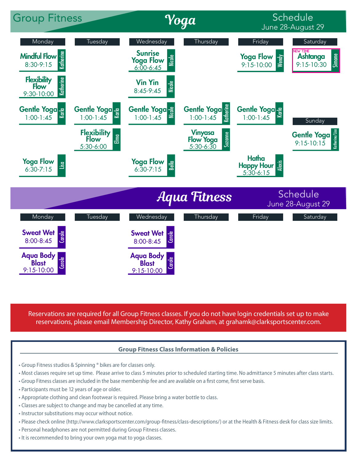

Reservations are required for all Group Fitness classes. If you do not have login credentials set up to make

# **Group Fitness Class Information & Policies**

- Group Fitness studios & Spinning ® bikes are for classes only.
- Most classes require set up time. Please arrive to class 5 minutes prior to scheduled starting time. No admittance 5 minutes after class starts.
- Group Fitness classes are included in the base membership fee and are available on a first come, first serve basis.
- Participants must be 12 years of age or older.
- Appropriate clothing and clean footwear is required. Please bring a water bottle to class.
- Classes are subject to change and may be cancelled at any time.
- Instructor substitutions may occur without notice.
- Please check online (http://www.clarksportscenter.com/group-fitness/class-descriptions/) or at the Health & Fitness desk for class size limits.
- Personal headphones are not permitted during Group Fitness classes.
- It is recommended to bring your own yoga mat to yoga classes.